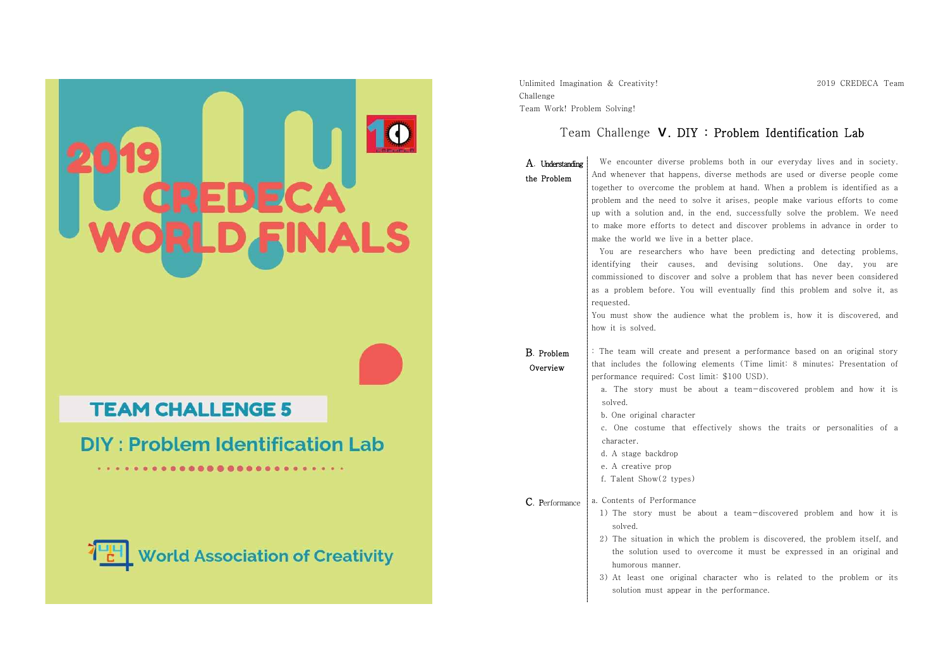|                                             | Unlimited Imagination & Creativity!<br>Challenge<br>Team Work! Problem Solving!<br>Team Challenge <b>V. DIY: Problem</b><br>We encounter diverse problems both in o<br>A. Understanding                                                                                                                                                                                                                                                                                                                                                                                                                                                                                                                                             |
|---------------------------------------------|-------------------------------------------------------------------------------------------------------------------------------------------------------------------------------------------------------------------------------------------------------------------------------------------------------------------------------------------------------------------------------------------------------------------------------------------------------------------------------------------------------------------------------------------------------------------------------------------------------------------------------------------------------------------------------------------------------------------------------------|
|                                             | And whenever that happens, diverse methods<br>the Problem<br>together to overcome the problem at hand.<br>problem and the need to solve it arises, pe-<br>up with a solution and, in the end, success<br>to make more efforts to detect and discove<br>make the world we live in a better place.<br>You are researchers who have been pi<br>identifying their causes, and devising<br>commissioned to discover and solve a proble<br>as a problem before. You will eventually f<br>requested.<br>You must show the audience what the prob<br>how it is solved.<br>: The team will create and present a perfo<br>B. Problem<br>that includes the following elements (Time<br>Overview<br>performance required; Cost limit: \$100 USD |
| <b>TEAM CHALLENGE 5</b>                     | a. The story must be about a team-d<br>solved.<br>b. One original character                                                                                                                                                                                                                                                                                                                                                                                                                                                                                                                                                                                                                                                         |
| <b>DIY: Problem Identification Lab</b><br>. | c. One costume that effectively shows<br>character.<br>d. A stage backdrop<br>e. A creative prop<br>f. Talent Show(2 types)                                                                                                                                                                                                                                                                                                                                                                                                                                                                                                                                                                                                         |
| <b>World Association of Creativity</b>      | a. Contents of Performance<br>C. Performance<br>1) The story must be about a team-di<br>solved.<br>2) The situation in which the problem is<br>the solution used to overcome it mus<br>humorous manner.<br>3) At least one original character who<br>solution must appear in the performanc                                                                                                                                                                                                                                                                                                                                                                                                                                         |

2019 CREDECA Team

# Identification Lab

bur everyday lives and in society. And whenever that happens, diverse methods are used or diverse people come<br>together to overcome the problem at hand. When a problem is identified as a<br>problem and the need to solve it arises, people make various efforts to er problems in advance in order to make the world we live in a better place. redicting and detecting problems,

identifying their causes, and devising solutions. One day, you are<br>commissioned to discover and solve a problem that has never been considered<br>as a problem before. You will eventually find this problem and solve it, as<br>req

blem is, how it is discovered, and

rmance based on an original story limit: 8 minutes; Presentation of

).<br>iscovered problem and how it is

the traits or personalities of a

- iscovered problem and how it is
- discovered, the problem itself, and t be expressed in an original and
- is related to the problem or its solution must appear in the performance.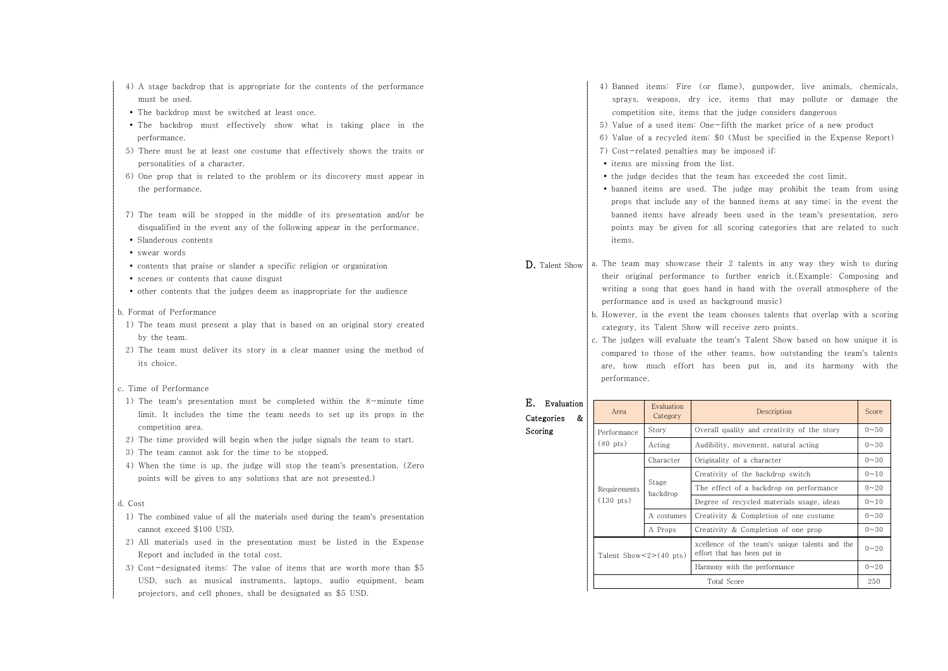- 4) A stage backdrop that is appropriate for the contents of the performance must be used.
- The backdrop must be switched at least once.
- The backdrop must effectively show what is taking place in the performance.
- 5) There must be at least one costume that effectively shows the traits or personalities of a character.
- 6) One prop that is related to the problem or its discovery must appear in the performance.
- 7) The team will be stopped in the middle of its presentation and/or be disqualified in the event any of the following appear in the performance.
- Slanderous contents
- swear words
- $\bullet$  contents that praise or slander a specific religion or organization
- scenes or contents that cause disgust
- $\bullet$  other contents that the judges deem as inappropriate for the audience
- b. Format of Performance
- 1) The team must present a play that is based on an original story created by the team.
- 2) The team must deliver its story in a clear manner using the method of its choice.
- c. Time of Performance
- 1) The team's presentation must be completed within the 8-minute time limit. It includes the time the team needs to set up its props in the competition area. 2) The time provided will begin when the judge signals the team to start.
- 
- 3) The team cannot ask for the time to be stopped.
- 4) When the time is up, the judge will stop the team's presentation. (Zero points will be given to any solutions that are not presented.)

#### d. Cost

- 1) The combined value of all the materials used during the team's presentation cannot exceed \$100 USD.
- 2) All materials used in the presentation must be listed in the Expense Report and included in the total cost.
- 3) Cost-designated items: The value of items that are worth more than \$5 USD, such as musical instruments, laptops, audio equipment, beam projectors, and cell phones, shall be designated as \$5 USD.
- 4) Banned items: Fire (or flame), gunpowder, live animals, chemicals, sprays, weapons, dry ice, items that may pollute or damage the competition site, items that the judge considers dangerous
- 5) Value of a used item: One-fifth the market price of a new product
- 6) Value of a recycled item: \$0 (Must be specified in the Expense Report)
- 7) Cost-related penalties may be imposed if:
- items are missing from the list.

 $\Gamma$  Evaluation

- the judge decides that the team has exceeded the cost limit.
- banned items are used. The judge may prohibit the team from using props that include any of the banned items at any time; in the event the banned items have already been used in the team's presentation, zero points may be given for all scoring categories that are related to such items.
- **D.** Talent Show  $\vert$  a. The team may showcase their 2 talents in any way they wish to during their original performance to further enrich it.(Example: Composing and writing a song that goes hand in hand with the overall atmosphere of the performance and is used as background music)
	- b. However, in the event the team chooses talents that overlap with a scoring category, its Talent Show will receive zero points. c. The judges will evaluate the team's Talent Show based on how unique it is
	- compared to those of the other teams, how outstanding the team's talents are, how much effort has been put in, and its harmony with the performance.

## E. Evaluation Categories &

Scoring

| Area                                                 | $L$ valuation<br>Category | Description                                                                   |          |
|------------------------------------------------------|---------------------------|-------------------------------------------------------------------------------|----------|
| Story<br>Performance<br>$(80 \text{ pts})$<br>Acting |                           | Overall quality and creativity of the story                                   | $0 - 50$ |
|                                                      |                           | Audibility, movement, natural acting                                          |          |
| Character                                            |                           | Originality of a character                                                    | $0 - 30$ |
| Requirements<br>$(130 \text{ pts})$                  |                           | Creativity of the backdrop switch                                             | $0 - 10$ |
|                                                      | Stage<br>backdrop         | The effect of a backdrop on performance                                       | $0 - 20$ |
|                                                      |                           | Degree of recycled materials usage, ideas                                     | $0 - 10$ |
|                                                      | A costumes                | Creativity & Completion of one costume                                        |          |
|                                                      | A Props                   | Creativity & Completion of one prop                                           | $0 - 30$ |
| Talent $Show < 2 > (40 \text{ pts})$                 |                           | xcellence of the team's unique talents and the<br>effort that has been put in | $0 - 20$ |
|                                                      |                           | Harmony with the performance                                                  | $0 - 20$ |
| Total Score                                          |                           | 250                                                                           |          |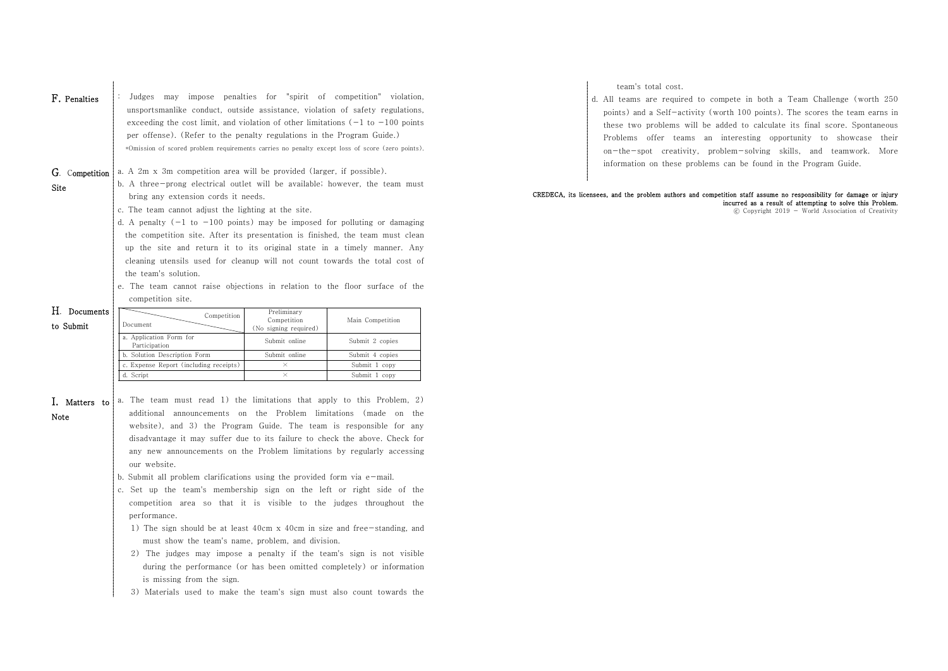| F. Penalties           | may impose penalties for "spirit of competition" violation,<br>Judges<br>unsportsmanlike conduct, outside assistance, violation of safety regulations,<br>exceeding the cost limit, and violation of other limitations $(-1)$ to $-100$ points<br>per offense). (Refer to the penalty regulations in the Program Guide.)<br>*Omission of scored problem requirements carries no penalty except loss of score (zero points).                                                                                                                                                                                                                                                                                                                                                                                                                                                                                                                                                                                                              |                                      |                  |  |  |
|------------------------|------------------------------------------------------------------------------------------------------------------------------------------------------------------------------------------------------------------------------------------------------------------------------------------------------------------------------------------------------------------------------------------------------------------------------------------------------------------------------------------------------------------------------------------------------------------------------------------------------------------------------------------------------------------------------------------------------------------------------------------------------------------------------------------------------------------------------------------------------------------------------------------------------------------------------------------------------------------------------------------------------------------------------------------|--------------------------------------|------------------|--|--|
| G. Competition<br>Site | a. A 2m x 3m competition area will be provided (larger, if possible).<br>b. A three-prong electrical outlet will be available; however, the team must<br>bring any extension cords it needs.<br>c. The team cannot adjust the lighting at the site.<br>d. A penalty $(-1)$ to $-100$ points) may be imposed for polluting or damaging<br>the competition site. After its presentation is finished, the team must clean<br>up the site and return it to its original state in a timely manner. Any<br>cleaning utensils used for cleanup will not count towards the total cost of<br>the team's solution.<br>e. The team cannot raise objections in relation to the floor surface of the<br>competition site.                                                                                                                                                                                                                                                                                                                             |                                      |                  |  |  |
| H. Documents           |                                                                                                                                                                                                                                                                                                                                                                                                                                                                                                                                                                                                                                                                                                                                                                                                                                                                                                                                                                                                                                          | Preliminary                          |                  |  |  |
| to Submit              | Competition<br>Document                                                                                                                                                                                                                                                                                                                                                                                                                                                                                                                                                                                                                                                                                                                                                                                                                                                                                                                                                                                                                  | Competition<br>(No signing required) | Main Competition |  |  |
|                        | a. Application Form for                                                                                                                                                                                                                                                                                                                                                                                                                                                                                                                                                                                                                                                                                                                                                                                                                                                                                                                                                                                                                  | Submit online                        | Submit 2 copies  |  |  |
|                        | Participation<br>b. Solution Description Form                                                                                                                                                                                                                                                                                                                                                                                                                                                                                                                                                                                                                                                                                                                                                                                                                                                                                                                                                                                            | Submit online                        | Submit 4 copies  |  |  |
|                        | c. Expense Report (including receipts)                                                                                                                                                                                                                                                                                                                                                                                                                                                                                                                                                                                                                                                                                                                                                                                                                                                                                                                                                                                                   | $\times$                             | Submit 1 copy    |  |  |
|                        | d. Script                                                                                                                                                                                                                                                                                                                                                                                                                                                                                                                                                                                                                                                                                                                                                                                                                                                                                                                                                                                                                                | $\times$                             | Submit 1 copy    |  |  |
| I. Matters to<br>Note  | a. The team must read 1) the limitations that apply to this Problem, 2)<br>announcements on the Problem limitations (made on the<br>additional<br>website), and 3) the Program Guide. The team is responsible for any<br>disadvantage it may suffer due to its failure to check the above. Check for<br>any new announcements on the Problem limitations by regularly accessing<br>our website.<br>b. Submit all problem clarifications using the provided form via $e$ -mail.<br>c. Set up the team's membership sign on the left or right side of the<br>competition area so that it is visible to the judges throughout the<br>performance.<br>1) The sign should be at least 40cm x 40cm in size and free-standing, and<br>must show the team's name, problem, and division.<br>2) The judges may impose a penalty if the team's sign is not visible<br>during the performance (or has been omitted completely) or information<br>is missing from the sign.<br>3) Materials used to make the team's sign must also count towards the |                                      |                  |  |  |

team's total cost.

d. All teams are required to compete in both a Team Challenge (worth 250 points) and a Self-activity (worth 100 points). The scores the team earns in these two problems will be added to calculate its final score. Spontaneous Problems offer teams an interesting opportunity to showcase their on-the-spot creativity, problem-solving skills, and teamwork. More information on these problems can be found in the Program Guide.

### CREDECA, its licensees, and the problem authors and competition staff assume no responsibility for damage or injury incurred as a result of attempting to solve this Problem.

ⓒ Copyright 2019 - World Association of Creativity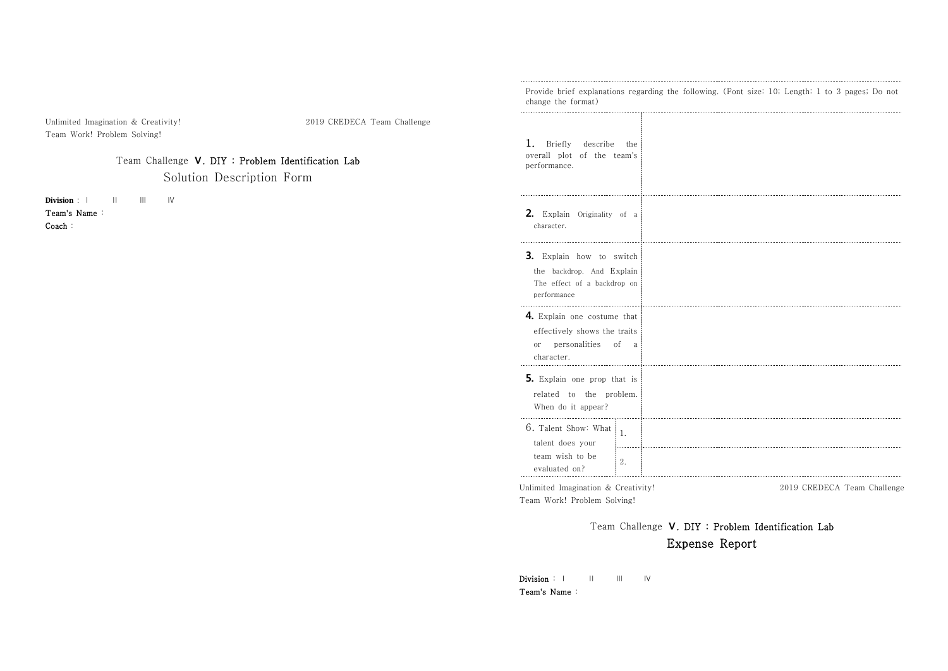|                                                                                                                                                                                      | Provide brief explanations regarding the following. (Font size: 10; Length: 1 to 3 pages; Do not<br>change the format) |  |  |
|--------------------------------------------------------------------------------------------------------------------------------------------------------------------------------------|------------------------------------------------------------------------------------------------------------------------|--|--|
| Unlimited Imagination & Creativity!<br>2019 CREDECA Team Challenge<br>Team Work! Problem Solving!<br>Team Challenge V. DIY : Problem Identification Lab<br>Solution Description Form | 1.<br>Briefly<br>describe the<br>overall plot of the team's<br>performance.                                            |  |  |
| Division :  <br>$\mathbf{III}$<br>IV<br>Ш.<br>Team's Name:<br>Coach:                                                                                                                 | 2. Explain Originality of a<br>character.                                                                              |  |  |
|                                                                                                                                                                                      | 3. Explain how to switch<br>the backdrop. And Explain<br>The effect of a backdrop on<br>performance                    |  |  |
|                                                                                                                                                                                      | 4. Explain one costume that<br>effectively shows the traits<br>or personalities of a<br>character.                     |  |  |
|                                                                                                                                                                                      | 5. Explain one prop that is<br>related to the problem.<br>When do it appear?                                           |  |  |
|                                                                                                                                                                                      | 6. Talent Show: What<br>1.<br>talent does your<br>team wish to be<br>2.<br>evaluated on?                               |  |  |
|                                                                                                                                                                                      | Unlimited Imagination & Creativity!<br>2019 CREDECA Team Challenge<br>Team Work! Problem Solving!                      |  |  |

Team Challenge **Ⅴ**. DIY : Problem Identification Lab Expense Report

Division : Ⅰ Ⅱ Ⅲ Ⅳ Team's Name :